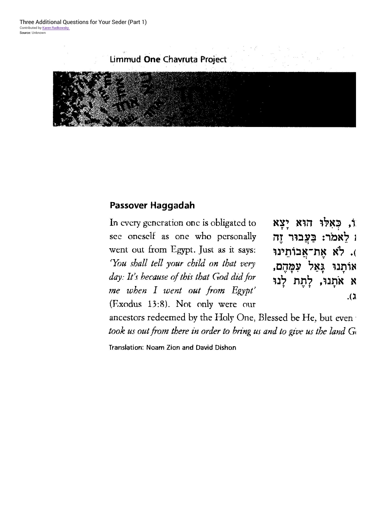## Limmud One Chavruta Project



## Passover Haggadah

In every generation one is obligated to see oneself as one who personally went out from Egypt. Just as it says: 'You shall tell your child on that very day: It's because of this that God did for me when I went out from Egypt' (Exodus 13:8). Not only were our

וֹ, כַאֲלוּ הוֹא יַצָא ו לאמר: בעבור זה . לא את־אַבוֹתֵינוּ אותנו גאל עמהם, א אֹתֲנוּ, לַתֵּת לַנוּ  $\lambda$ 

ancestors redeemed by the Holy One, Blessed be He, but even took us out from there in order to bring us and to give us the land G

Translation: Noam Zion and David Dishon